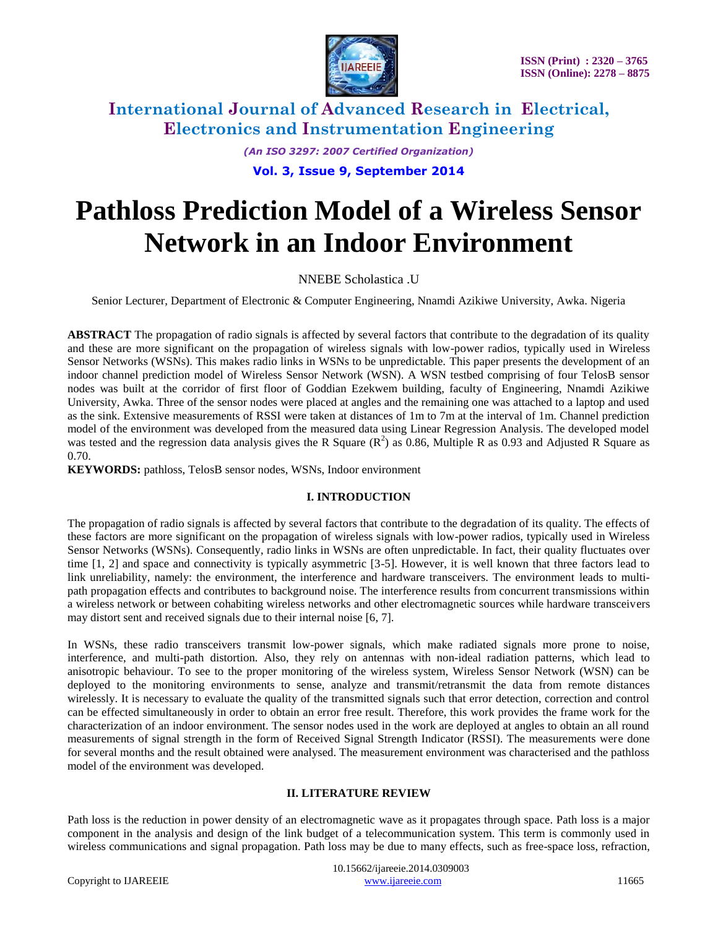

*(An ISO 3297: 2007 Certified Organization)*

## **Vol. 3, Issue 9, September 2014**

# **Pathloss Prediction Model of a Wireless Sensor Network in an Indoor Environment**

## NNEBE Scholastica .U

Senior Lecturer, Department of Electronic & Computer Engineering, Nnamdi Azikiwe University, Awka. Nigeria

**ABSTRACT** The propagation of radio signals is affected by several factors that contribute to the degradation of its quality and these are more significant on the propagation of wireless signals with low-power radios, typically used in Wireless Sensor Networks (WSNs). This makes radio links in WSNs to be unpredictable. This paper presents the development of an indoor channel prediction model of Wireless Sensor Network (WSN). A WSN testbed comprising of four TelosB sensor nodes was built at the corridor of first floor of Goddian Ezekwem building, faculty of Engineering, Nnamdi Azikiwe University, Awka. Three of the sensor nodes were placed at angles and the remaining one was attached to a laptop and used as the sink. Extensive measurements of RSSI were taken at distances of 1m to 7m at the interval of 1m. Channel prediction model of the environment was developed from the measured data using Linear Regression Analysis. The developed model was tested and the regression data analysis gives the R Square  $(R^2)$  as 0.86, Multiple R as 0.93 and Adjusted R Square as 0.70.

**KEYWORDS:** pathloss, TelosB sensor nodes, WSNs, Indoor environment

#### **I. INTRODUCTION**

The propagation of radio signals is affected by several factors that contribute to the degradation of its quality. The effects of these factors are more significant on the propagation of wireless signals with low-power radios, typically used in Wireless Sensor Networks (WSNs). Consequently, radio links in WSNs are often unpredictable. In fact, their quality fluctuates over time [1, 2] and space and connectivity is typically asymmetric [3-5]. However, it is well known that three factors lead to link unreliability, namely: the environment, the interference and hardware transceivers. The environment leads to multipath propagation effects and contributes to background noise. The interference results from concurrent transmissions within a wireless network or between cohabiting wireless networks and other electromagnetic sources while hardware transceivers may distort sent and received signals due to their internal noise [6, 7].

In WSNs, these radio transceivers transmit low-power signals, which make radiated signals more prone to noise, interference, and multi-path distortion. Also, they rely on antennas with non-ideal radiation patterns, which lead to anisotropic behaviour. To see to the proper monitoring of the wireless system, Wireless Sensor Network (WSN) can be deployed to the monitoring environments to sense, analyze and transmit/retransmit the data from remote distances wirelessly. It is necessary to evaluate the quality of the transmitted signals such that error detection, correction and control can be effected simultaneously in order to obtain an error free result. Therefore, this work provides the frame work for the characterization of an indoor environment. The sensor nodes used in the work are deployed at angles to obtain an all round measurements of signal strength in the form of Received Signal Strength Indicator (RSSI). The measurements were done for several months and the result obtained were analysed. The measurement environment was characterised and the pathloss model of the environment was developed.

#### **II. LITERATURE REVIEW**

Path loss is the reduction in power density of an [electromagnetic wave](http://en.wikipedia.org/wiki/Electromagnetic_wave) as it propagates through space. Path loss is a major component in the analysis and design of the [link budget](http://en.wikipedia.org/wiki/Link_budget) of a telecommunication system. This term is commonly used in wireless communications and [signal](http://en.wiktionary.org/wiki/signal) [propagation.](http://en.wikipedia.org/wiki/Wave_propagation) Path loss may be due to many effects, such as [free-space loss,](http://en.wikipedia.org/wiki/Free-space_loss) [refraction,](http://en.wikipedia.org/wiki/Refraction)

 10.15662/ijareeie.2014.0309003 Copyright to IJAREEIE [www.ijareeie.com](http://www.ijareeie.com/) 11665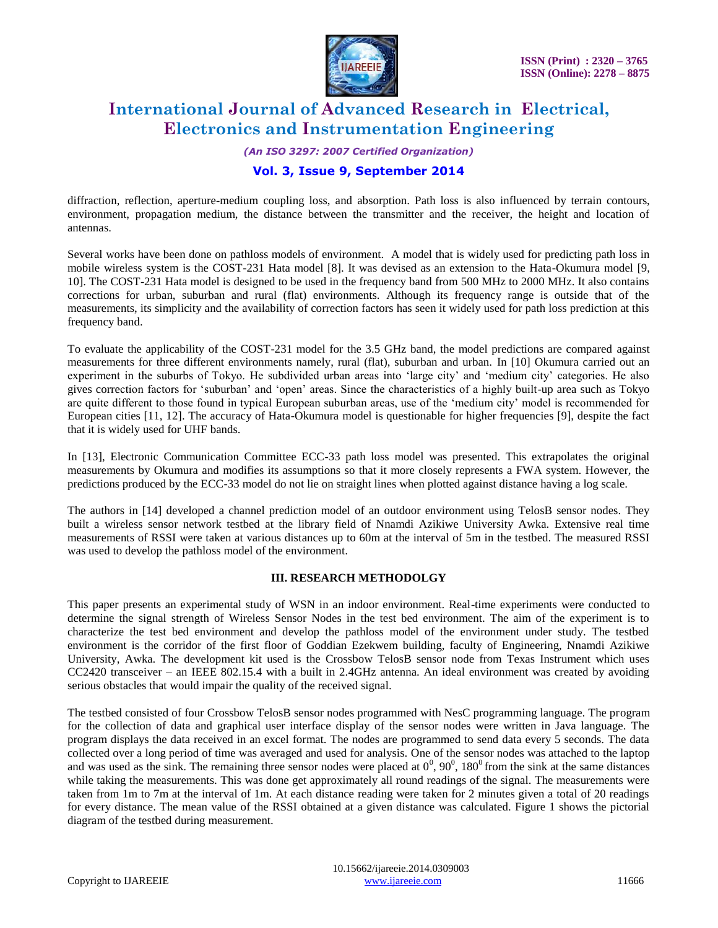

*(An ISO 3297: 2007 Certified Organization)*

## **Vol. 3, Issue 9, September 2014**

[diffraction,](http://en.wikipedia.org/wiki/Diffraction) [reflection,](http://en.wikipedia.org/wiki/Reflection_%28physics%29) [aperture-](http://en.wikipedia.org/wiki/Aperture_%28antenna%29)[medium](http://en.wikipedia.org/wiki/Transmission_medium) [coupling loss,](http://en.wikipedia.org/wiki/Coupling_loss) and [absorption.](http://en.wikipedia.org/wiki/Absorption_%28optics%29) Path loss is also influenced by terrain contours, environment, propagation medium, the distance between the transmitter and the receiver, the height and location of antennas.

Several works have been done on pathloss models of environment. A model that is widely used for predicting path loss in mobile wireless system is the COST-231 Hata model [8]. It was devised as an extension to the Hata-Okumura model [9, 10]. The COST-231 Hata model is designed to be used in the frequency band from 500 MHz to 2000 MHz. It also contains corrections for urban, suburban and rural (flat) environments. Although its frequency range is outside that of the measurements, its simplicity and the availability of correction factors has seen it widely used for path loss prediction at this frequency band.

To evaluate the applicability of the COST-231 model for the 3.5 GHz band, the model predictions are compared against measurements for three different environments namely, rural (flat), suburban and urban. In [10] Okumura carried out an experiment in the suburbs of Tokyo. He subdivided urban areas into "large city" and "medium city" categories. He also gives correction factors for "suburban" and "open" areas. Since the characteristics of a highly built-up area such as Tokyo are quite different to those found in typical European suburban areas, use of the "medium city" model is recommended for European cities [11, 12]. The accuracy of Hata-Okumura model is questionable for higher frequencies [9], despite the fact that it is widely used for UHF bands.

In [13], Electronic Communication Committee ECC-33 path loss model was presented. This extrapolates the original measurements by Okumura and modifies its assumptions so that it more closely represents a FWA system. However, the predictions produced by the ECC-33 model do not lie on straight lines when plotted against distance having a log scale.

The authors in [14] developed a channel prediction model of an outdoor environment using TelosB sensor nodes. They built a wireless sensor network testbed at the library field of Nnamdi Azikiwe University Awka. Extensive real time measurements of RSSI were taken at various distances up to 60m at the interval of 5m in the testbed. The measured RSSI was used to develop the pathloss model of the environment.

#### **III. RESEARCH METHODOLGY**

This paper presents an experimental study of WSN in an indoor environment. Real-time experiments were conducted to determine the signal strength of Wireless Sensor Nodes in the test bed environment. The aim of the experiment is to characterize the test bed environment and develop the pathloss model of the environment under study. The testbed environment is the corridor of the first floor of Goddian Ezekwem building, faculty of Engineering, Nnamdi Azikiwe University, Awka. The development kit used is the Crossbow TelosB sensor node from Texas Instrument which uses CC2420 transceiver – an IEEE 802.15.4 with a built in 2.4GHz antenna. An ideal environment was created by avoiding serious obstacles that would impair the quality of the received signal.

The testbed consisted of four Crossbow TelosB sensor nodes programmed with NesC programming language. The program for the collection of data and graphical user interface display of the sensor nodes were written in Java language. The program displays the data received in an excel format. The nodes are programmed to send data every 5 seconds. The data collected over a long period of time was averaged and used for analysis. One of the sensor nodes was attached to the laptop and was used as the sink. The remaining three sensor nodes were placed at  $0^0$ ,  $90^0$ ,  $180^0$  from the sink at the same distances while taking the measurements. This was done get approximately all round readings of the signal. The measurements were taken from 1m to 7m at the interval of 1m. At each distance reading were taken for 2 minutes given a total of 20 readings for every distance. The mean value of the RSSI obtained at a given distance was calculated. Figure 1 shows the pictorial diagram of the testbed during measurement.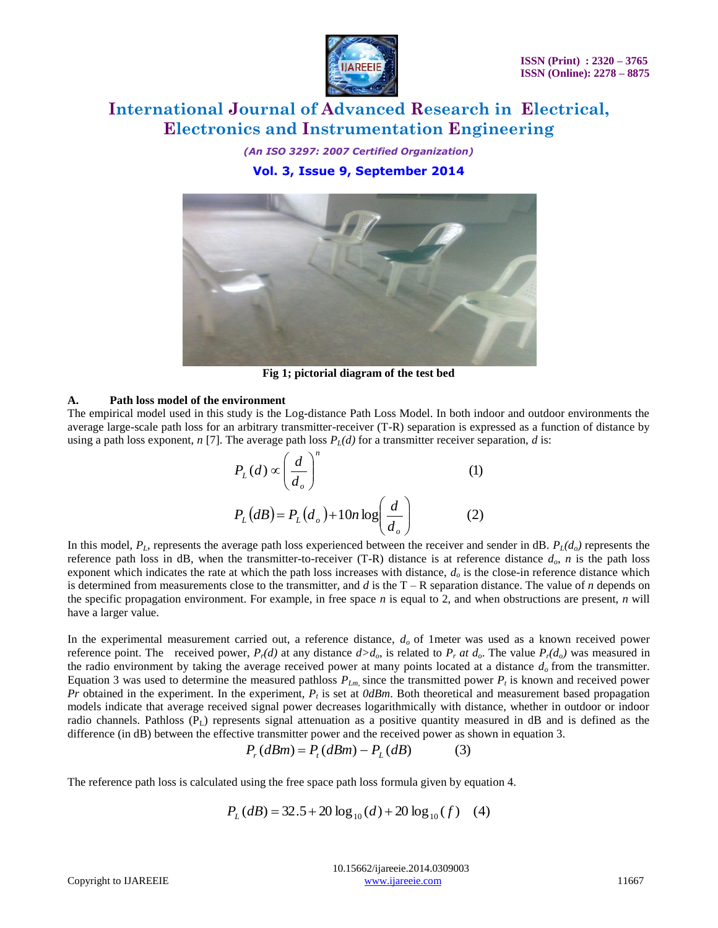

*(An ISO 3297: 2007 Certified Organization)* **Vol. 3, Issue 9, September 2014**



**Fig 1; pictorial diagram of the test bed**

#### **A. Path loss model of the environment**

The empirical model used in this study is the Log-distance Path Loss Model. In both indoor and outdoor environments the average large-scale path loss for an arbitrary transmitter-receiver (T-R) separation is expressed as a function of distance by using a path loss exponent, *n* [7]. The average path loss  $P_l(d)$  for a transmitter receiver separation, *d* is:

$$
P_L(d) \propto \left(\frac{d}{d_o}\right)^n
$$
 (1)  

$$
P_L(dB) = P_L(d_o) + 10n \log \left(\frac{d}{d_o}\right)
$$
 (2)

In this model,  $P_L$ , represents the average path loss experienced between the receiver and sender in dB.  $P_L(d_o)$  represents the reference path loss in dB, when the transmitter-to-receiver (T-R) distance is at reference distance *do*, *n* is the path loss exponent which indicates the rate at which the path loss increases with distance, *d<sup>o</sup>* is the close-in reference distance which is determined from measurements close to the transmitter, and  $d$  is the  $T - R$  separation distance. The value of  $n$  depends on the specific propagation environment. For example, in free space *n* is equal to 2, and when obstructions are present, *n* will have a larger value.

In the experimental measurement carried out, a reference distance, *d<sup>o</sup>* of 1meter was used as a known received power reference point. The received power,  $P_r(d)$  at any distance  $d>d_0$ , is related to  $P_r$  *at*  $d_0$ . The value  $P_r(d_0)$  was measured in the radio environment by taking the average received power at many points located at a distance *d<sup>o</sup>* from the transmitter. Equation 3 was used to determine the measured pathloss  $P_{Lm}$ , since the transmitted power  $P_t$  is known and received power *Pr* obtained in the experiment. In the experiment, *P<sup>t</sup>* is set at *0dBm*. Both theoretical and measurement based propagation models indicate that average received signal power decreases logarithmically with distance, whether in outdoor or indoor radio channels. Pathloss  $(P_L)$  represents signal attenuation as a positive quantity measured in dB and is defined as the difference (in dB) between the effective transmitter power and the received power as shown in equation 3.

$$
P_{r}(dBm) = P_{t}(dBm) - P_{L}(dB)
$$
 (3)

The reference path loss is calculated using the free space path loss formula given by equation 4.

$$
P_L(dB) = 32.5 + 20 \log_{10}(d) + 20 \log_{10}(f) \quad (4)
$$

 10.15662/ijareeie.2014.0309003 Copyright to IJAREEIE [www.ijareeie.com](http://www.ijareeie.com/) 11667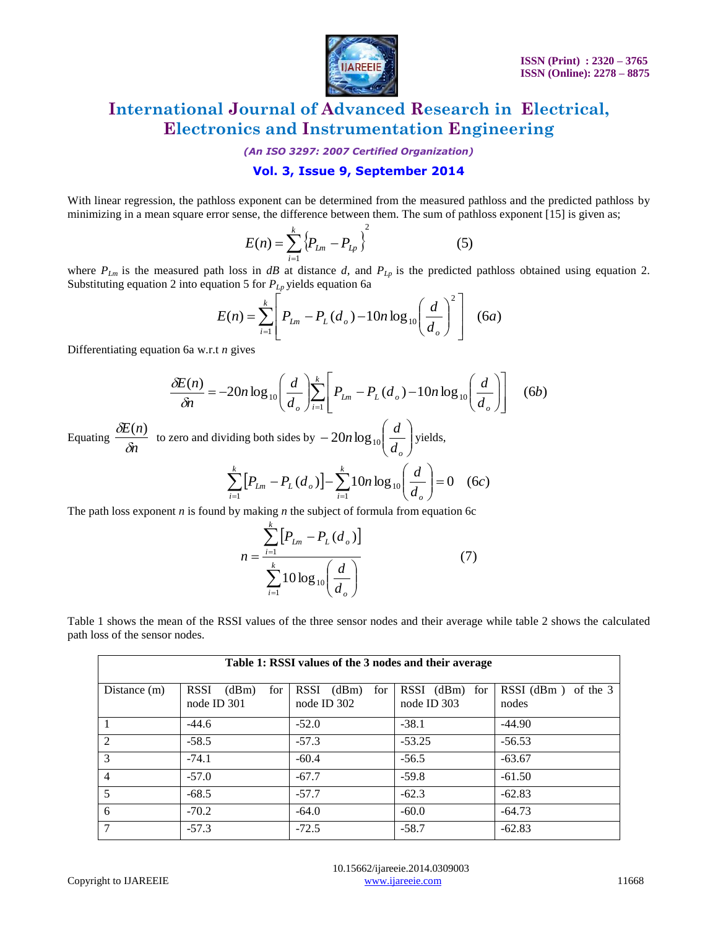

*(An ISO 3297: 2007 Certified Organization)*

## **Vol. 3, Issue 9, September 2014**

With linear regression, the pathloss exponent can be determined from the measured pathloss and the predicted pathloss by minimizing in a mean square error sense, the difference between them. The sum of pathloss exponent [15] is given as;

$$
E(n) = \sum_{i=1}^{k} \left\{ P_{Ln} - P_{Lp} \right\}^{2}
$$
 (5)

where  $P_{Lm}$  is the measured path loss in *dB* at distance *d*, and  $P_{Lp}$  is the predicted pathloss obtained using equation 2. Substituting equation 2 into equation 5 for  $P_{L_p}$  yields equation 6a

$$
E(n) = \sum_{i=1}^{k} \left[ P_{Ln} - P_{L}(d_{o}) - 10n \log_{10} \left( \frac{d}{d_{o}} \right)^{2} \right] \quad (6a)
$$

Differentiating equation 6a w.r.t *n* gives

$$
\frac{\delta E(n)}{\delta n} = -20n \log_{10} \left( \frac{d}{d_o} \right) \sum_{i=1}^{k} \left[ P_{Ln} - P_L(d_o) - 10n \log_{10} \left( \frac{d}{d_o} \right) \right] \quad (6b)
$$

Equating  $\frac{1}{\delta n}$ *E n*  $\delta$  $\frac{\partial E(n)}{\partial n}$  to zero and dividing both sides by  $-20n\log_{10}\left(\frac{d}{d}\right)$ J  $\backslash$  $\overline{\phantom{a}}$  $\setminus$ ſ  $\overline{a}$ *do*  $20n \log_{10} \left( \frac{d}{I} \right)$  yields, *k k*

$$
\sum_{i=1}^{k} \left[ P_{Lm} - P_L(d_o) \right] - \sum_{i=1}^{k} 10n \log_{10} \left( \frac{d}{d_o} \right) = 0 \quad (6c)
$$

The path loss exponent *n* is found by making *n* the subject of formula from equation 6c

$$
n = \frac{\sum_{i=1}^{k} [P_{Ln} - P_{L}(d_{o})]}{\sum_{i=1}^{k} 10 \log_{10} \left(\frac{d}{d_{o}}\right)}
$$
(7)

Table 1 shows the mean of the RSSI values of the three sensor nodes and their average while table 2 shows the calculated path loss of the sensor nodes.

| Table 1: RSSI values of the 3 nodes and their average |                                            |                                            |                                    |                              |  |  |
|-------------------------------------------------------|--------------------------------------------|--------------------------------------------|------------------------------------|------------------------------|--|--|
| Distance $(m)$                                        | <b>RSSI</b><br>(dBm)<br>for<br>node ID 301 | <b>RSSI</b><br>(dBm)<br>for<br>node ID 302 | $RSSI$ (dBm)<br>for<br>node ID 303 | RSSI (dBm) of the 3<br>nodes |  |  |
|                                                       | $-44.6$                                    | $-52.0$                                    | $-38.1$                            | $-44.90$                     |  |  |
| 2                                                     | $-58.5$                                    | $-57.3$                                    | $-53.25$                           | $-56.53$                     |  |  |
| 3                                                     | $-74.1$                                    | $-60.4$                                    | $-56.5$                            | $-63.67$                     |  |  |
| $\overline{4}$                                        | $-57.0$                                    | $-67.7$                                    | $-59.8$                            | $-61.50$                     |  |  |
| -5                                                    | $-68.5$                                    | $-57.7$                                    | $-62.3$                            | $-62.83$                     |  |  |
| 6                                                     | $-70.2$                                    | $-64.0$                                    | $-60.0$                            | $-64.73$                     |  |  |
| 7                                                     | $-57.3$                                    | $-72.5$                                    | $-58.7$                            | $-62.83$                     |  |  |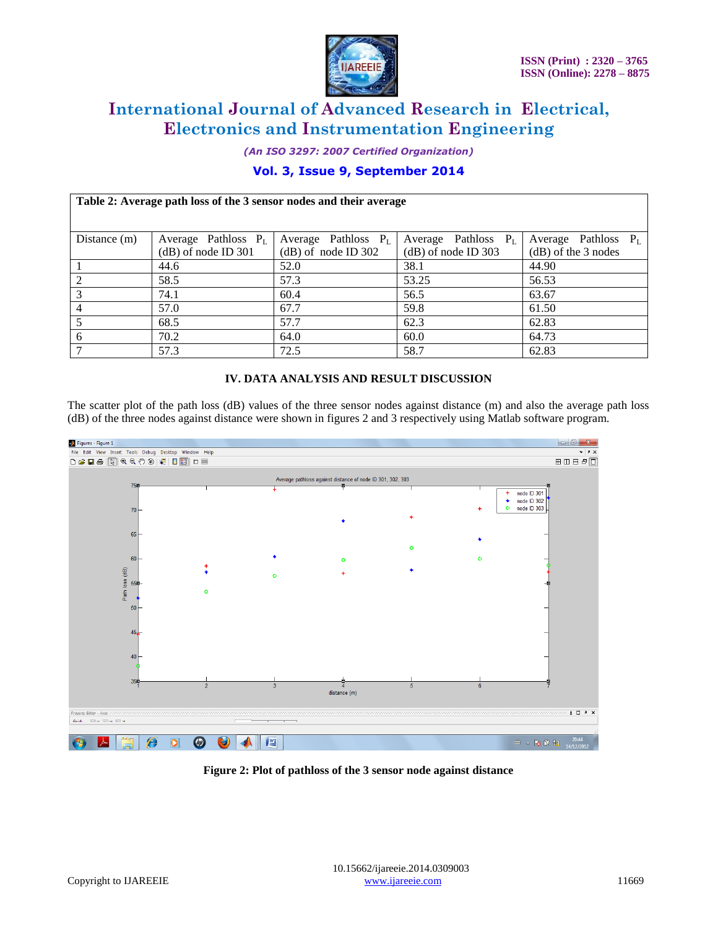

*(An ISO 3297: 2007 Certified Organization)*

## **Vol. 3, Issue 9, September 2014**

| Table 2: Average path loss of the 3 sensor nodes and their average |                        |                        |                        |                        |  |  |  |  |
|--------------------------------------------------------------------|------------------------|------------------------|------------------------|------------------------|--|--|--|--|
|                                                                    |                        |                        |                        |                        |  |  |  |  |
| Distance $(m)$                                                     | Average Pathloss $P_L$ | Average Pathloss $P_L$ | Average Pathloss $P_L$ | Average Pathloss $P_L$ |  |  |  |  |
|                                                                    | $(d)$ of node ID 301   | $(d)$ of node ID 302   | $(dB)$ of node ID 303  | $(d)$ of the 3 nodes   |  |  |  |  |
|                                                                    | 44.6                   | 52.0                   | 38.1                   | 44.90                  |  |  |  |  |
|                                                                    | 58.5                   | 57.3                   | 53.25                  | 56.53                  |  |  |  |  |
|                                                                    | 74.1                   | 60.4                   | 56.5                   | 63.67                  |  |  |  |  |
| 4                                                                  | 57.0                   | 67.7                   | 59.8                   | 61.50                  |  |  |  |  |
|                                                                    | 68.5                   | 57.7                   | 62.3                   | 62.83                  |  |  |  |  |
| 6                                                                  | 70.2                   | 64.0                   | 60.0                   | 64.73                  |  |  |  |  |
|                                                                    | 57.3                   | 72.5                   | 58.7                   | 62.83                  |  |  |  |  |

## **IV. DATA ANALYSIS AND RESULT DISCUSSION**

The scatter plot of the path loss (dB) values of the three sensor nodes against distance (m) and also the average path loss (dB) of the three nodes against distance were shown in figures 2 and 3 respectively using Matlab software program.



**Figure 2: Plot of pathloss of the 3 sensor node against distance**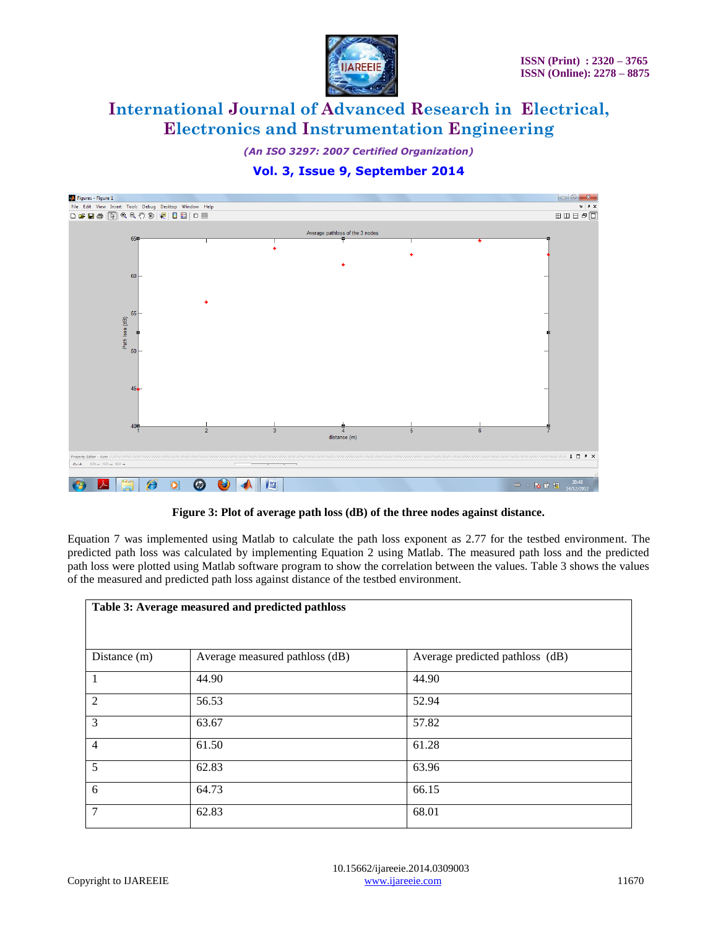

*(An ISO 3297: 2007 Certified Organization)*

## **Vol. 3, Issue 9, September 2014**



**Figure 3: Plot of average path loss (dB) of the three nodes against distance.**

Equation 7 was implemented using Matlab to calculate the path loss exponent as 2.77 for the testbed environment. The predicted path loss was calculated by implementing Equation 2 using Matlab. The measured path loss and the predicted path loss were plotted using Matlab software program to show the correlation between the values. Table 3 shows the values of the measured and predicted path loss against distance of the testbed environment.

| Table 3: Average measured and predicted pathloss |                                |                                 |  |  |  |
|--------------------------------------------------|--------------------------------|---------------------------------|--|--|--|
| Distance (m)                                     | Average measured pathloss (dB) | Average predicted pathloss (dB) |  |  |  |
| 1                                                | 44.90                          | 44.90                           |  |  |  |
| 2                                                | 56.53                          | 52.94                           |  |  |  |
| 3                                                | 63.67                          | 57.82                           |  |  |  |
| $\overline{4}$                                   | 61.50                          | 61.28                           |  |  |  |
| 5                                                | 62.83                          | 63.96                           |  |  |  |
| 6                                                | 64.73                          | 66.15                           |  |  |  |
| $\overline{7}$                                   | 62.83                          | 68.01                           |  |  |  |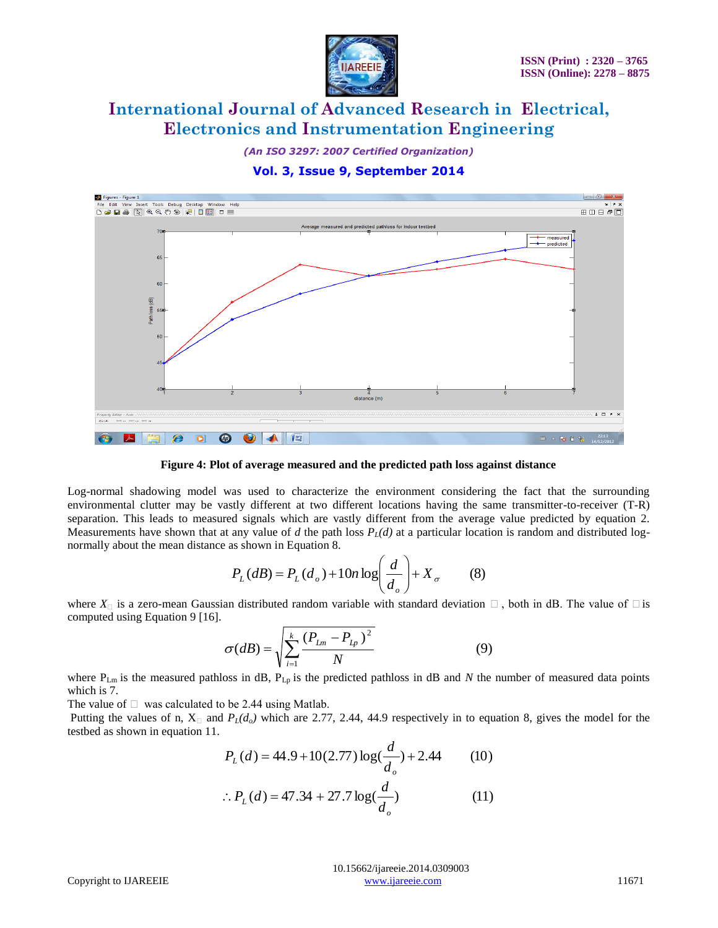

*(An ISO 3297: 2007 Certified Organization)*

**Vol. 3, Issue 9, September 2014**



**Figure 4: Plot of average measured and the predicted path loss against distance**

Log-normal shadowing model was used to characterize the environment considering the fact that the surrounding environmental clutter may be vastly different at two different locations having the same transmitter-to-receiver (T-R) separation. This leads to measured signals which are vastly different from the average value predicted by equation 2. Measurements have shown that at any value of *d* the path loss  $P_{\ell}(d)$  at a particular location is random and distributed lognormally about the mean distance as shown in Equation 8.

$$
P_L(dB) = P_L(d_o) + 10n \log \left(\frac{d}{d_o}\right) + X_\sigma \tag{8}
$$

where  $X_{\Box}$  is a zero-mean Gaussian distributed random variable with standard deviation  $\Box$ , both in dB. The value of  $\Box$  is computed using Equation 9 [16].

$$
\sigma(dB) = \sqrt{\sum_{i=1}^{k} \frac{(P_{Lm} - P_{Lp})^2}{N}}
$$
(9)

where  $P_{Lm}$  is the measured pathloss in dB,  $P_{Lp}$  is the predicted pathloss in dB and *N* the number of measured data points which is 7.

The value of  $\Box$  was calculated to be 2.44 using Matlab.

Putting the values of n,  $X_{\Box}$  and  $P_L(d_o)$  which are 2.77, 2.44, 44.9 respectively in to equation 8, gives the model for the testbed as shown in equation 11.

$$
P_L(d) = 44.9 + 10(2.77) \log(\frac{d}{d_o}) + 2.44
$$
 (10)  
 
$$
\therefore P_L(d) = 47.34 + 27.7 \log(\frac{d}{d_o})
$$
 (11)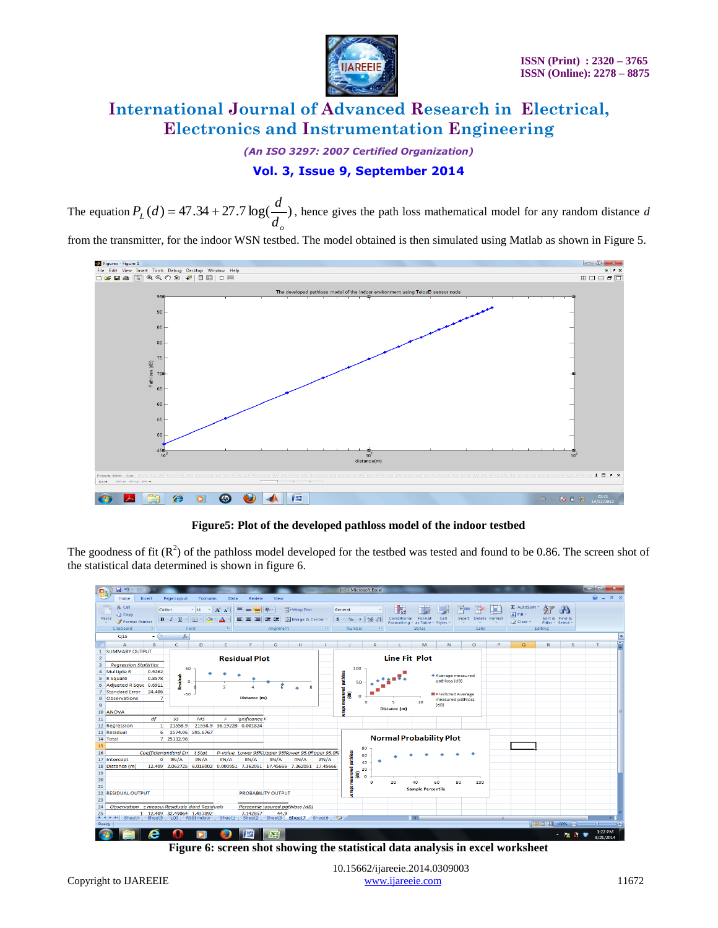

*(An ISO 3297: 2007 Certified Organization)*

## **Vol. 3, Issue 9, September 2014**

The equation  $P_l(d) = 47.34 + 27.7 \log(\frac{a}{d})$ *o*  $\int_{L}$ (*a*) –  $\rightarrow$  1.5 $\rightarrow$  1.21.1  $\log$ <sup>1</sup> d  $P_{\mu}(d) = 47.34 + 27.7 \log(\frac{d}{d})$ , hence gives the path loss mathematical model for any random distance *d* 

from the transmitter, for the indoor WSN testbed. The model obtained is then simulated using Matlab as shown in Figure 5.



**Figure5: Plot of the developed pathloss model of the indoor testbed**

The goodness of fit  $(R^2)$  of the pathloss model developed for the testbed was tested and found to be 0.86. The screen shot of the statistical data determined is shown in figure 6.



10.15662/ijareeie.2014.0309003